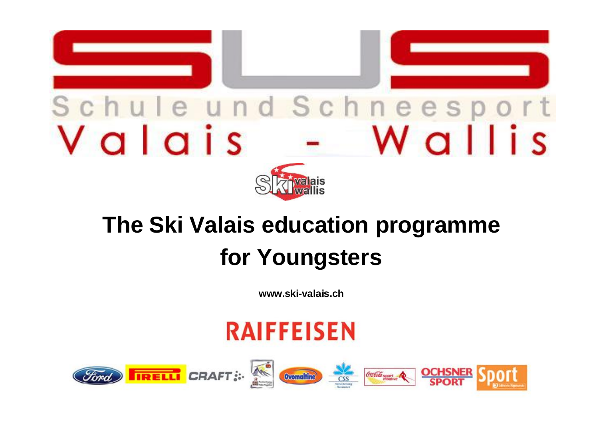

# **The Ski Valais education programme for Youngsters**

**[www.ski-valais.ch](http://www.ski-valais.ch)**

# RAIFFEISEN

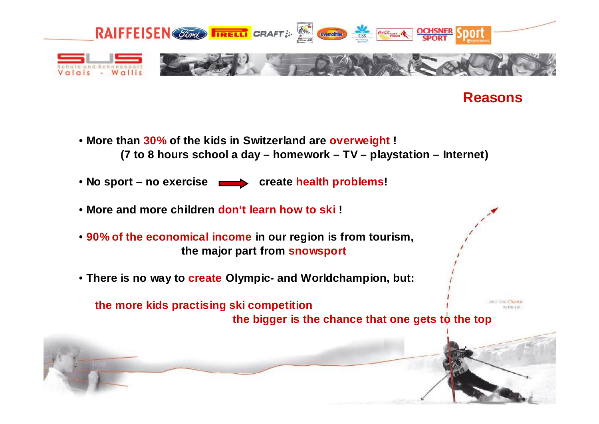

**Reasons**

- **More than 30% of the kids in Switzerland are overweight ! (7 to 8 hours school a day – homework – TV – playstation – Internet)**
- No sport no exercise **comedy** create health problems!
- **More and more children don't learn how to ski !**
- **90% of the economical income in our region is from tourism, the major part from snowsport**
- **There is no way to create Olympic- and Worldchampion, but:**

**the more kids practising ski competition** aina faire i hance **the bigger is the chance that one gets to the top**

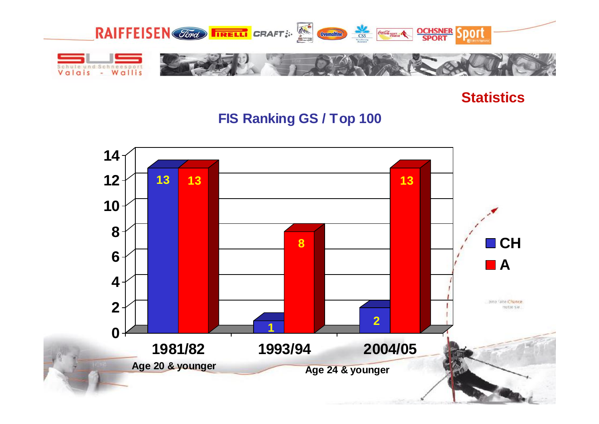

**Statistics**

# **FIS Ranking GS / Top 100**

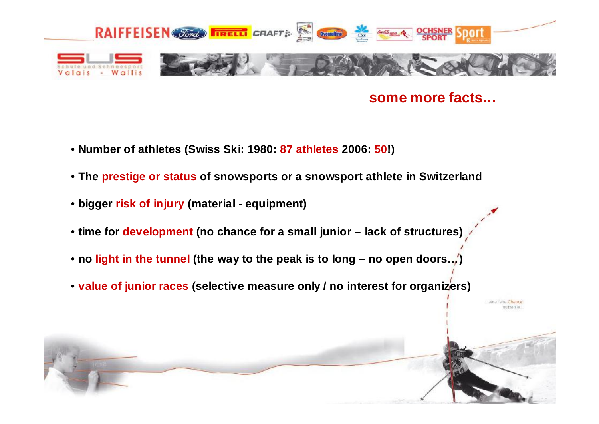

**some more facts…**

aina faire i hance mitter cle

- **Number of athletes (Swiss Ski: 1980: 87 athletes 2006: 50!)**
- **The prestige or status of snowsports or a snowsport athlete in Switzerland**
- **bigger risk of injury (material equipment)**
- **time for development (no chance for a small junior lack of structures)**
- **no light in the tunnel (the way to the peak is to long no open doors…)**
- **value of junior races (selective measure only / no interest for organizers)**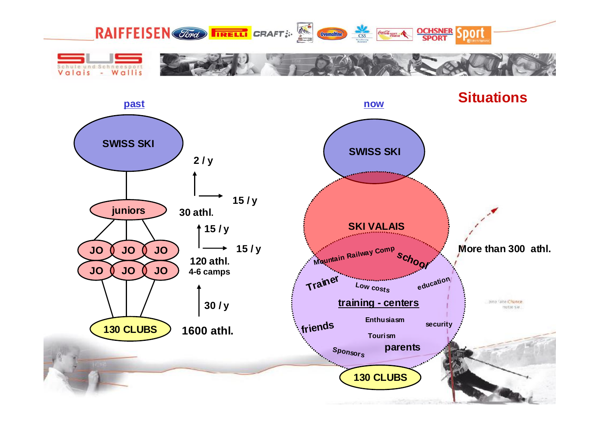

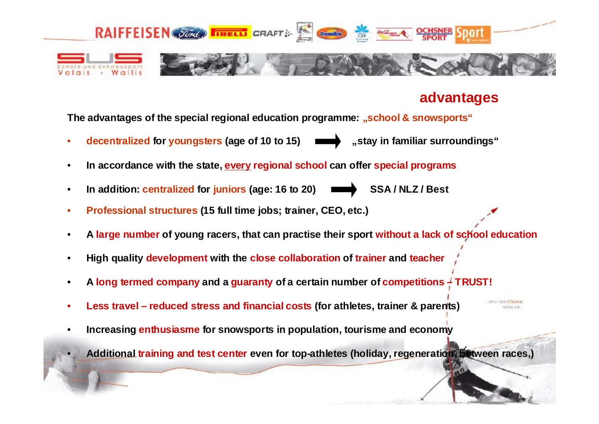

## **advantages**

**The advantages of the special regional education programme: ..school & snowsports "** 

- **decentralized for voungsters** (age of 10 to 15) **The set of stay in familiar surroundings** "
- **In accordance with the state, every regional school can offer special programs**
- In addition: **centralized** for juniors (age: 16 to 20)  $\longrightarrow$  SSA / NLZ / Best
- **Professional structures (15 full time jobs; trainer, CEO, etc.)**
- **A large number of young racers, that can practise their sport without a lack of school education**
- **High quality development with the close collaboration of trainer and teacher**
- **A long termed company and a guaranty of a certain number of competitions TRUST!**
- **Less travel reduced stress and financial costs (for athletes, trainer & parents)**
- **Increasing enthusiasme for snowsports in population, tourisme and economy**

• **Additional training and test center even for top-athletes (holiday, regeneration, between races,)**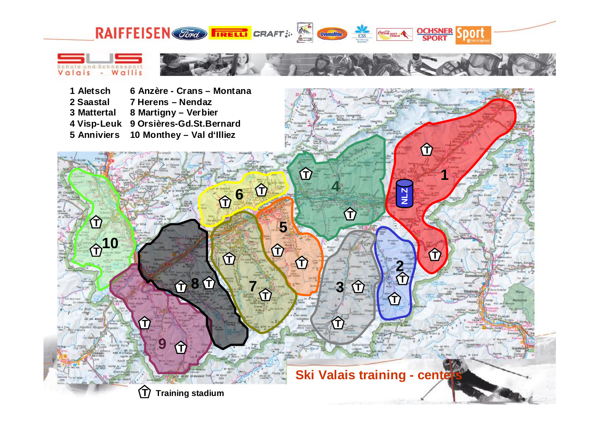



**2 Saastal 7 Herens – Nendaz 3 Mattertal 8 Martigny – Verbier 4 Visp-Leuk 9 Orsières-Gd.St.Bernard 5 Anniviers 10 Monthey – Val d'Illiez T T 1 4 6 T NLZ T ① T 5**  $\hat{\tau}^{\textbf{(10)}}$  $\hat{\mathbf{T}}$ **T T T 2 T 8 T T 7 3 T** Para **T T T T ARANGE R 9 T Ski Valais training - cente** Again as Grant **T** Training stadium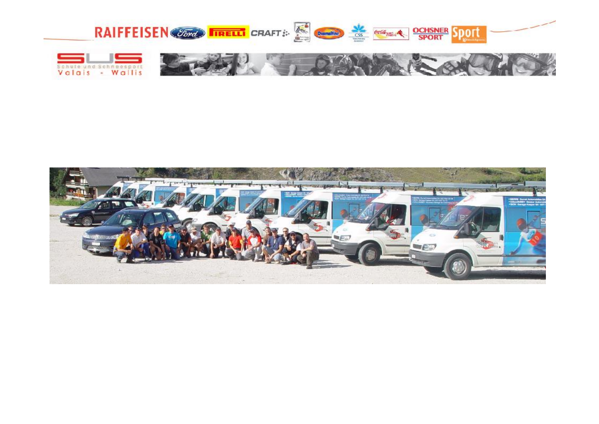

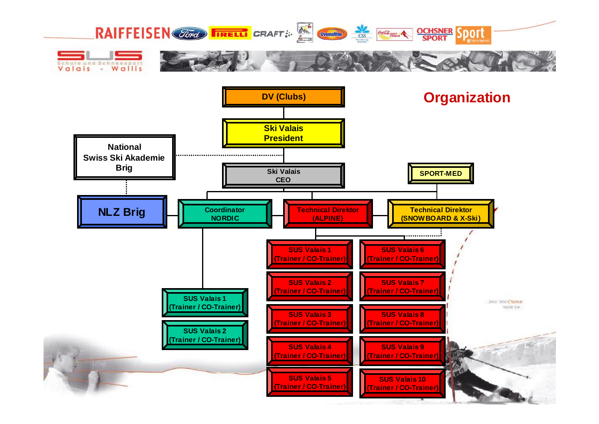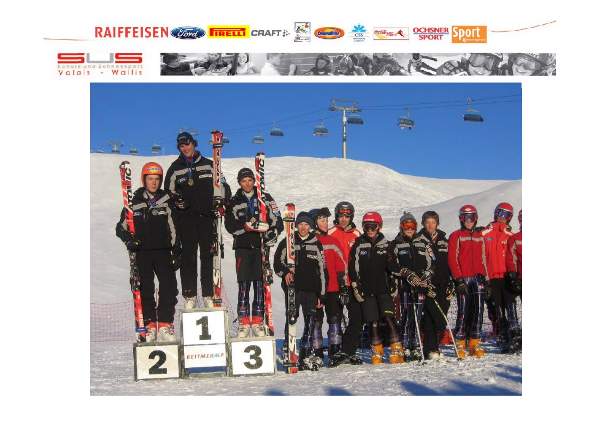





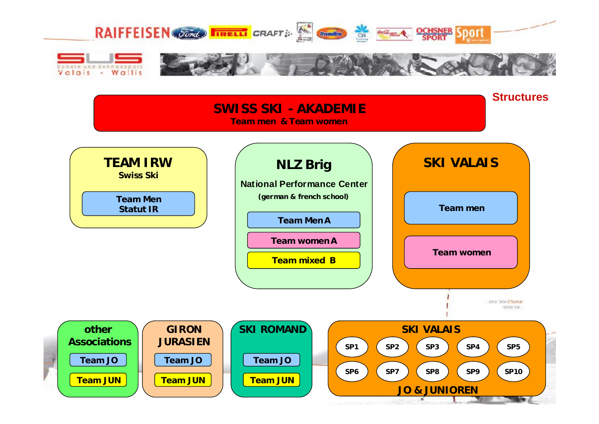

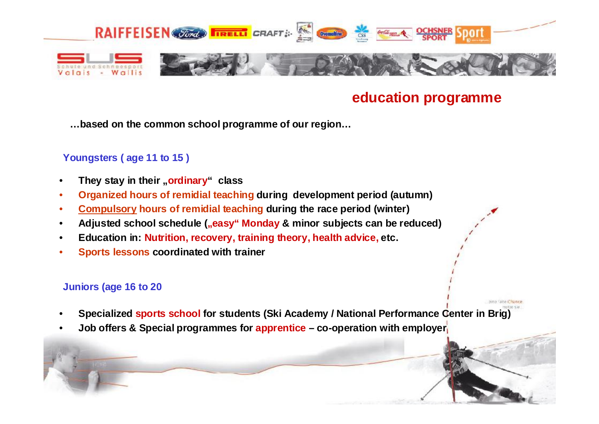

## **education programme**

**…based on the common school programme of our region…**

### **Youngsters ( age 11 to 15 )**

- They stay in their **ordinary** class
- **Organized hours of remidial teaching during development period (autumn)**
- **Compulsory hours of remidial teaching during the race period (winter)**
- Adjusted school schedule ("easy" Monday & minor subjects can be reduced)
- **Education in: Nutrition, recovery, training theory, health advice, etc.**
- **Sports lessons coordinated with trainer**

#### **Juniors (age 16 to 20**

- **Specialized sports school for students (Ski Academy / National Performance Center in Brig)**
- **Job offers & Special programmes for apprentice co-operation with employer**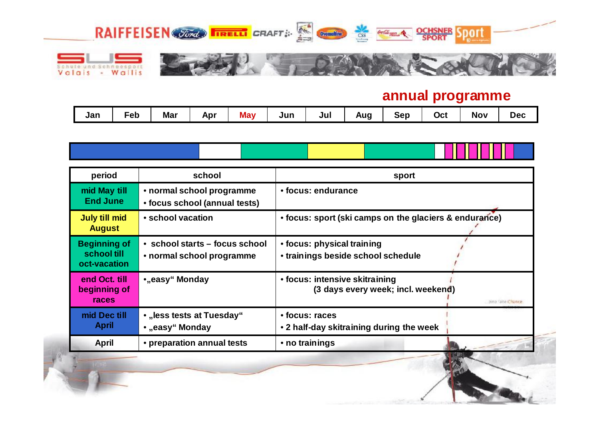

# **annual programme**

| Jan | Feb | <b>Mar</b> | Apr | <b>May</b> | Jun | Jul | Aud | Sep | Oct | Nov | <b>Dec</b> |
|-----|-----|------------|-----|------------|-----|-----|-----|-----|-----|-----|------------|
|     |     |            |     |            |     |     |     |     |     |     |            |



| period                                             | school                                                      | sport                                                                                      |  |  |  |  |
|----------------------------------------------------|-------------------------------------------------------------|--------------------------------------------------------------------------------------------|--|--|--|--|
| mid May till<br><b>End June</b>                    | • normal school programme<br>• focus school (annual tests)  | • focus: endurance                                                                         |  |  |  |  |
| <b>July till mid</b><br><b>August</b>              | • school vacation                                           | • focus: sport (ski camps on the glaciers & endurance)                                     |  |  |  |  |
| <b>Beginning of</b><br>school till<br>oct-vacation | • school starts – focus school<br>• normal school programme | • focus: physical training<br>• trainings beside school schedule                           |  |  |  |  |
| end Oct. till<br>beginning of<br>races             | •"easy" Monday                                              | • focus: intensive skitraining<br>(3 days every week; incl. weekend)<br>aina faire i bance |  |  |  |  |
| mid Dec till<br><b>April</b>                       | • "less tests at Tuesday"<br>• "easy" Monday                | • focus: races<br>• 2 half-day skitraining during the week                                 |  |  |  |  |
| <b>April</b>                                       | • preparation annual tests                                  | • no trainings                                                                             |  |  |  |  |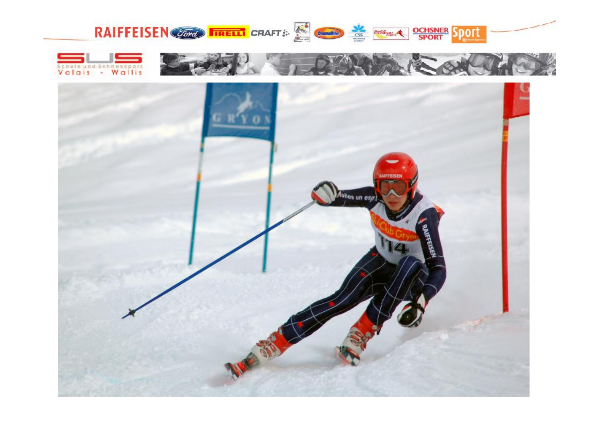





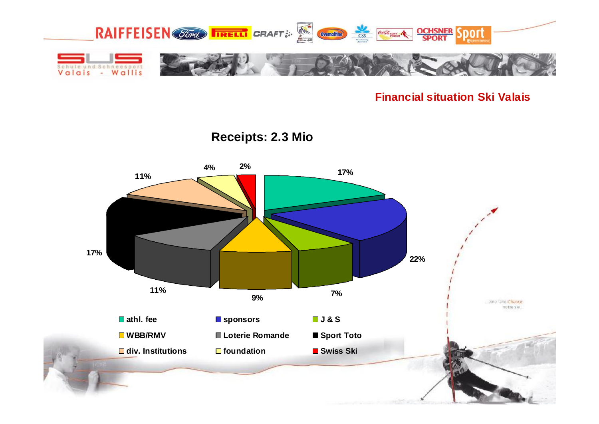

**Financial situation Ski Valais**

**Receipts: 2.3 Mio**

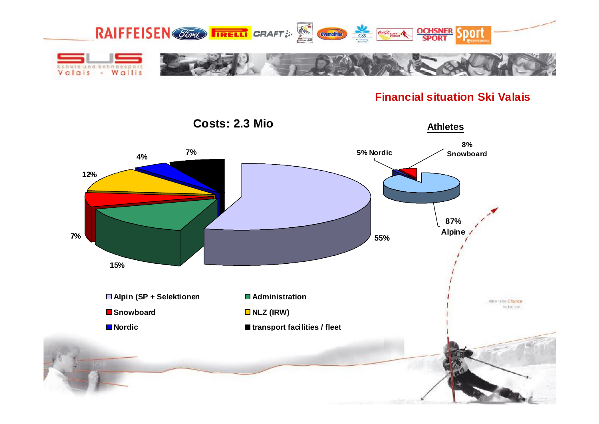

**Financial situation Ski Valais**

**Athletes**



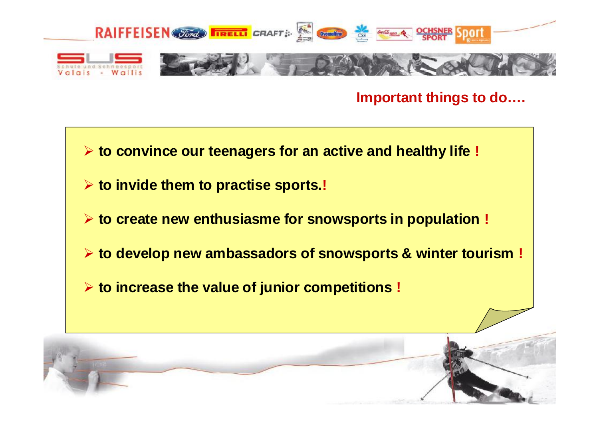

**Important things to do….**

- **to convince our teenagers for an active and healthy life !**
- **to invide them to practise sports.!**
- **to create new enthusiasme for snowsports in population !**
- **to develop new ambassadors of snowsports & winter tourism !**
- **to increase the value of junior competitions !**